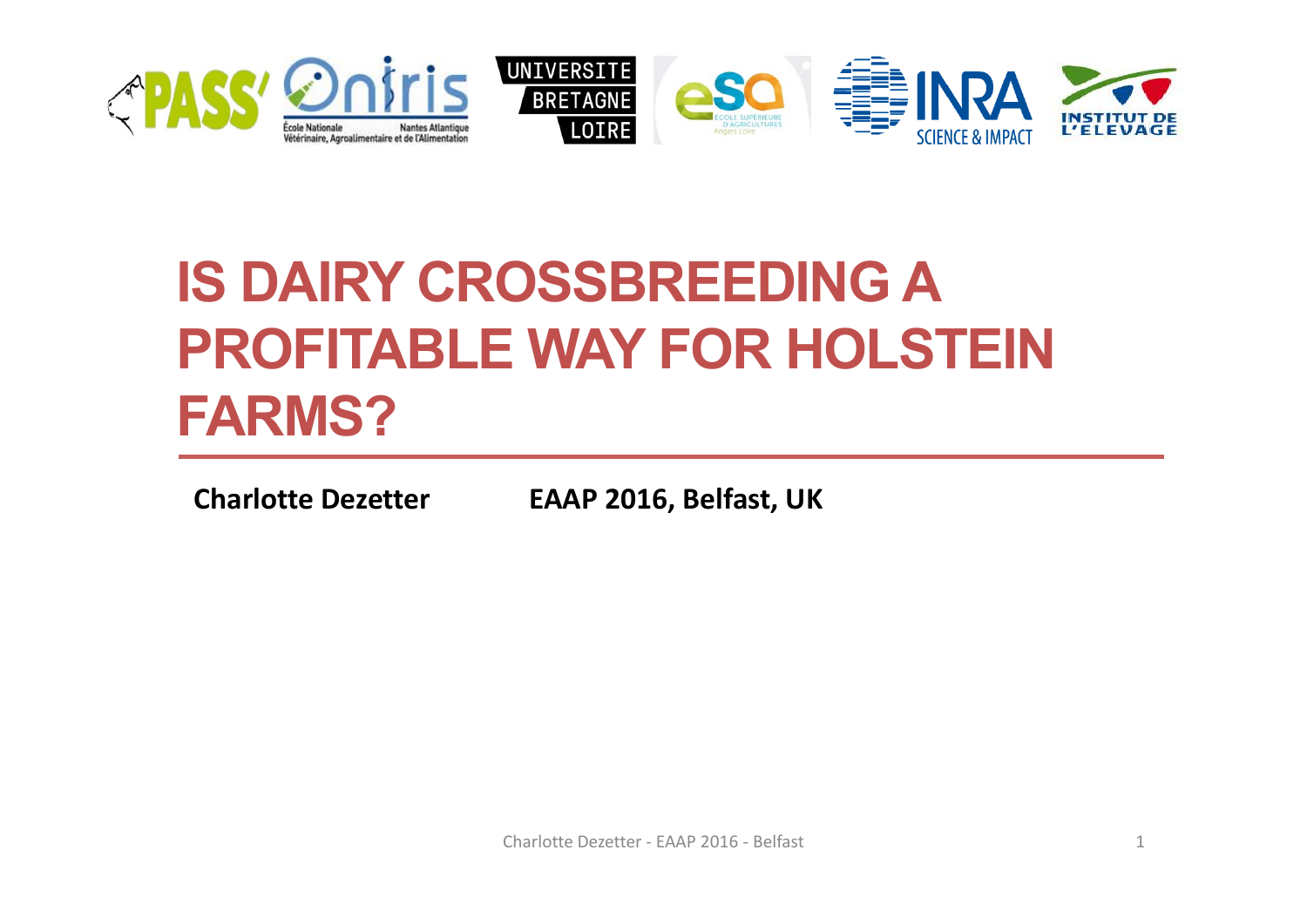

# **IS DAIRY CROSSBREEDING A PROFITABLE WAY FOR HOLSTEIN FARMS?**

**Charlotte Dezetter EAAP 2016, Belfast, UK**

Charlotte Dezetter ‐ EAAP 2016 ‐ Belfast 1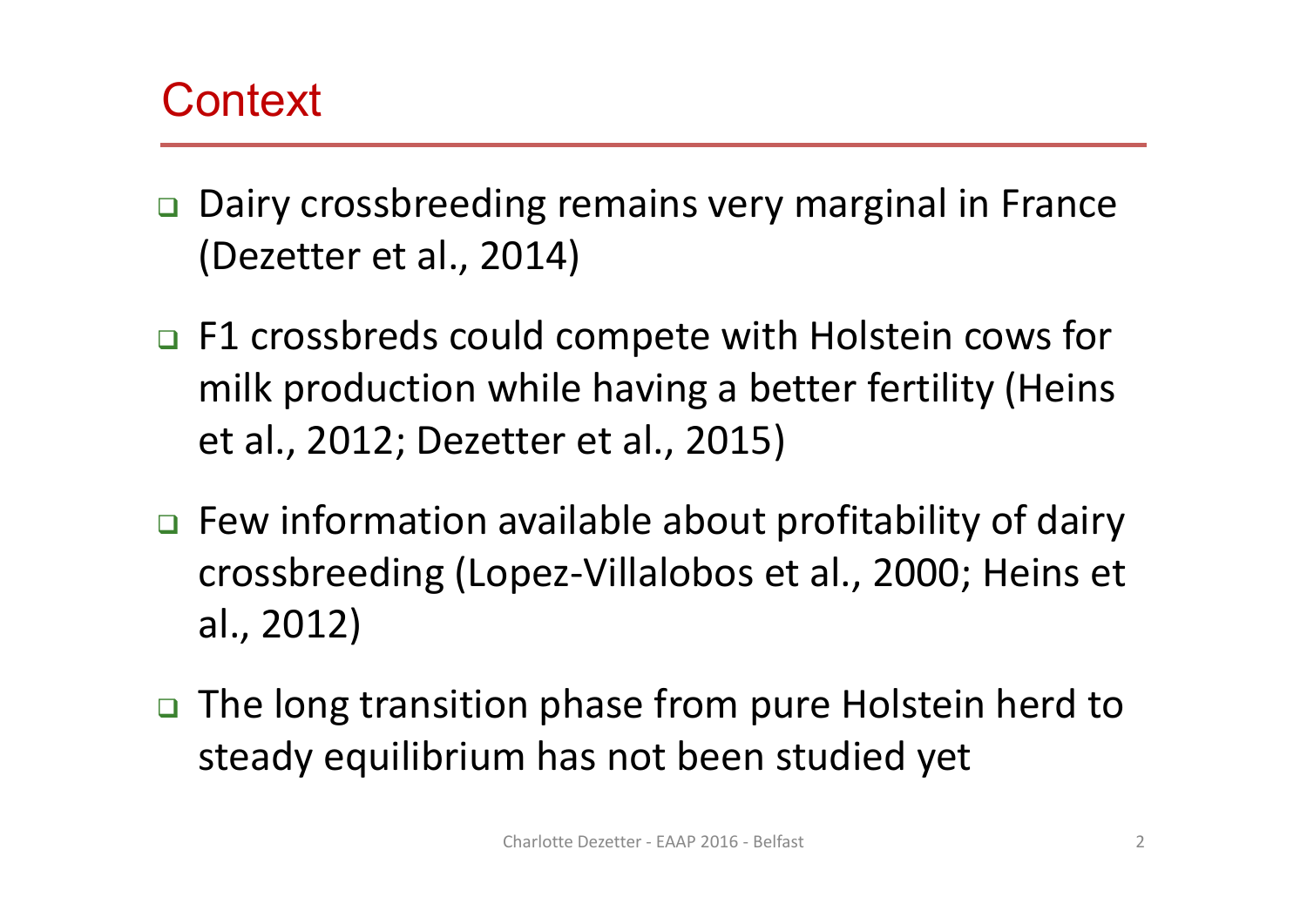## **Context**

- □ Dairy crossbreeding remains very marginal in France (Dezetter et al., 2014)
- □ F1 crossbreds could compete with Holstein cows for milk production while having a better fertility (Heins et al., 2012; Dezetter et al., 2015)
- □ Few information available about profitability of dairy crossbreeding (Lopez‐Villalobos et al., 2000; Heins et al., 2012)
- □ The long transition phase from pure Holstein herd to steady equilibrium has not been studied yet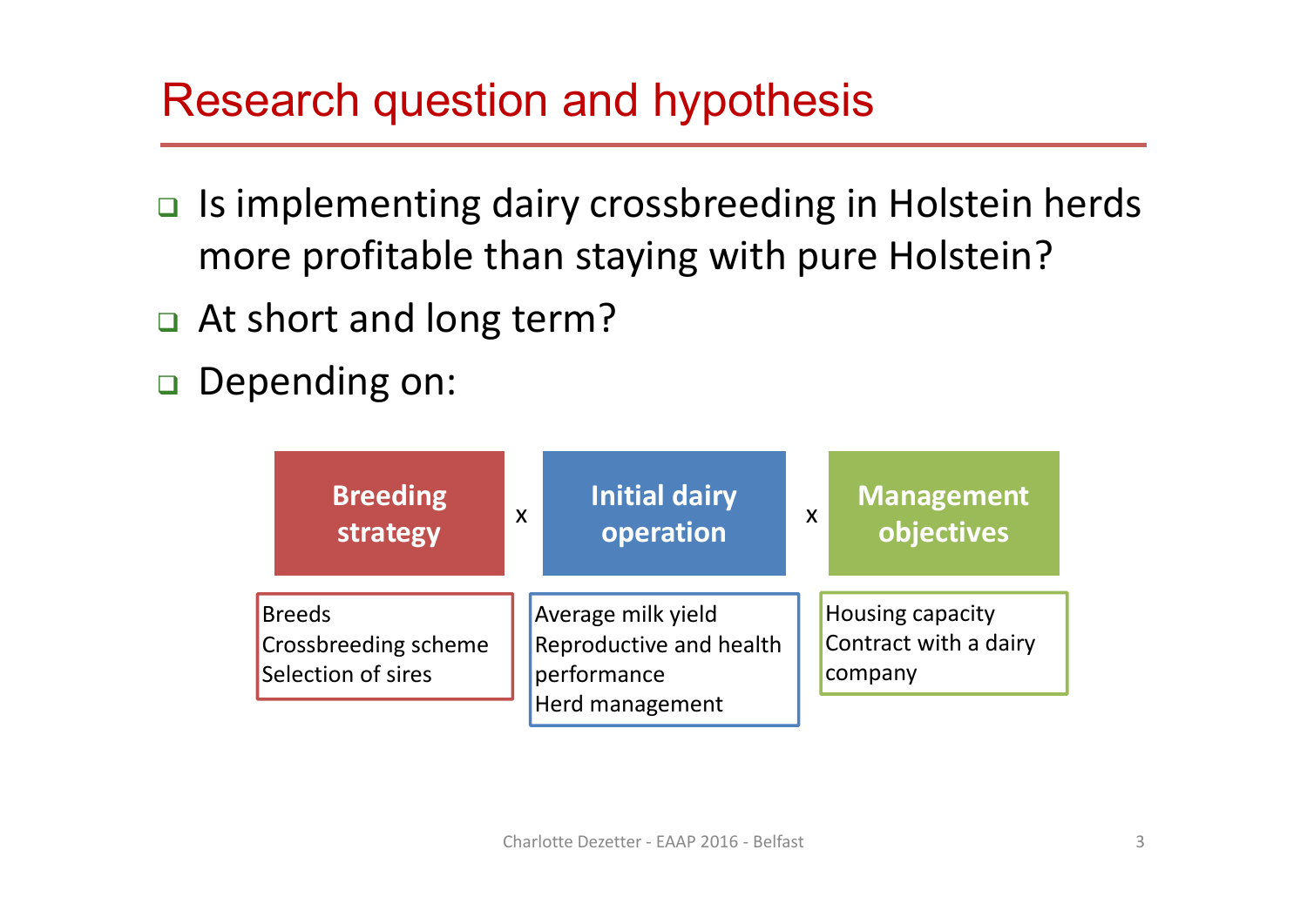## Research question and hypothesis

- □ Is implementing dairy crossbreeding in Holstein herds more profitable than staying with pure Holstein?
- At short and long term?
- Depending on:

| <b>Breeding</b><br>strategy                                        | X | <b>Initial dairy</b><br>operation                                               | $\boldsymbol{\mathsf{X}}$ | <b>Management</b><br>objectives                             |
|--------------------------------------------------------------------|---|---------------------------------------------------------------------------------|---------------------------|-------------------------------------------------------------|
| <b>Breeds</b><br><b>Crossbreeding scheme</b><br>Selection of sires |   | Average milk yield<br>Reproductive and health<br>performance<br>Herd management |                           | <b>Housing capacity</b><br>Contract with a dairy<br>company |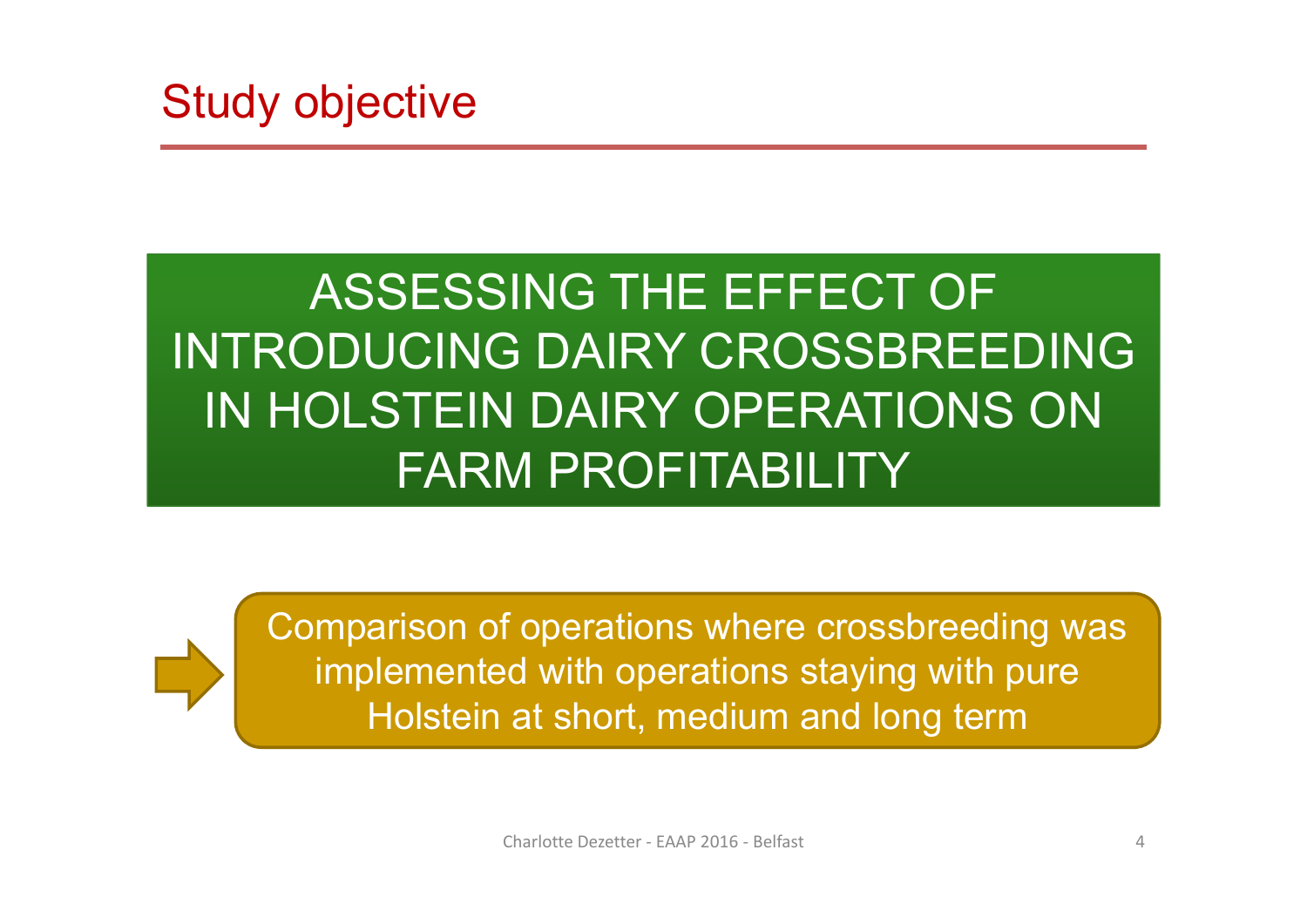

## ASSESSING THE EFFECT OF INTRODUCING DAIRY CROSSBREEDING IN HOLSTEIN DAIRY OPERATIONS ON FARM PROFITABILITY

Comparison of operations where crossbreeding was implemented with operations staying with pure Holstein at short, medium and long term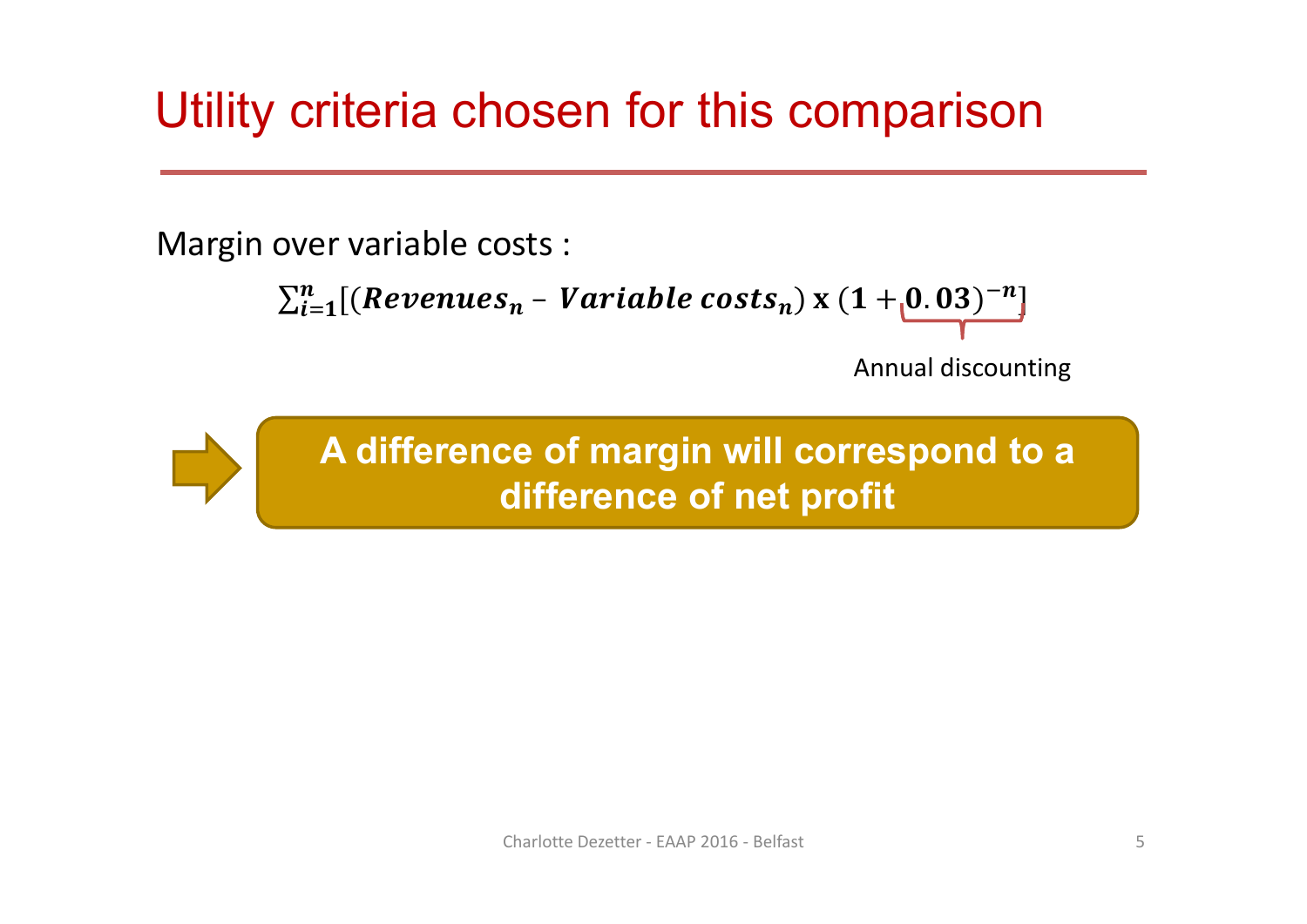## Utility criteria chosen for this comparison

Margin over variable costs :

```
\sum_{i=1}^n[(Revenues_n - Variable\ costs_n)\times(1 + _[0.03)^{-n}]]
```
Annual discounting

**A difference of margin will correspond to a difference of net profit**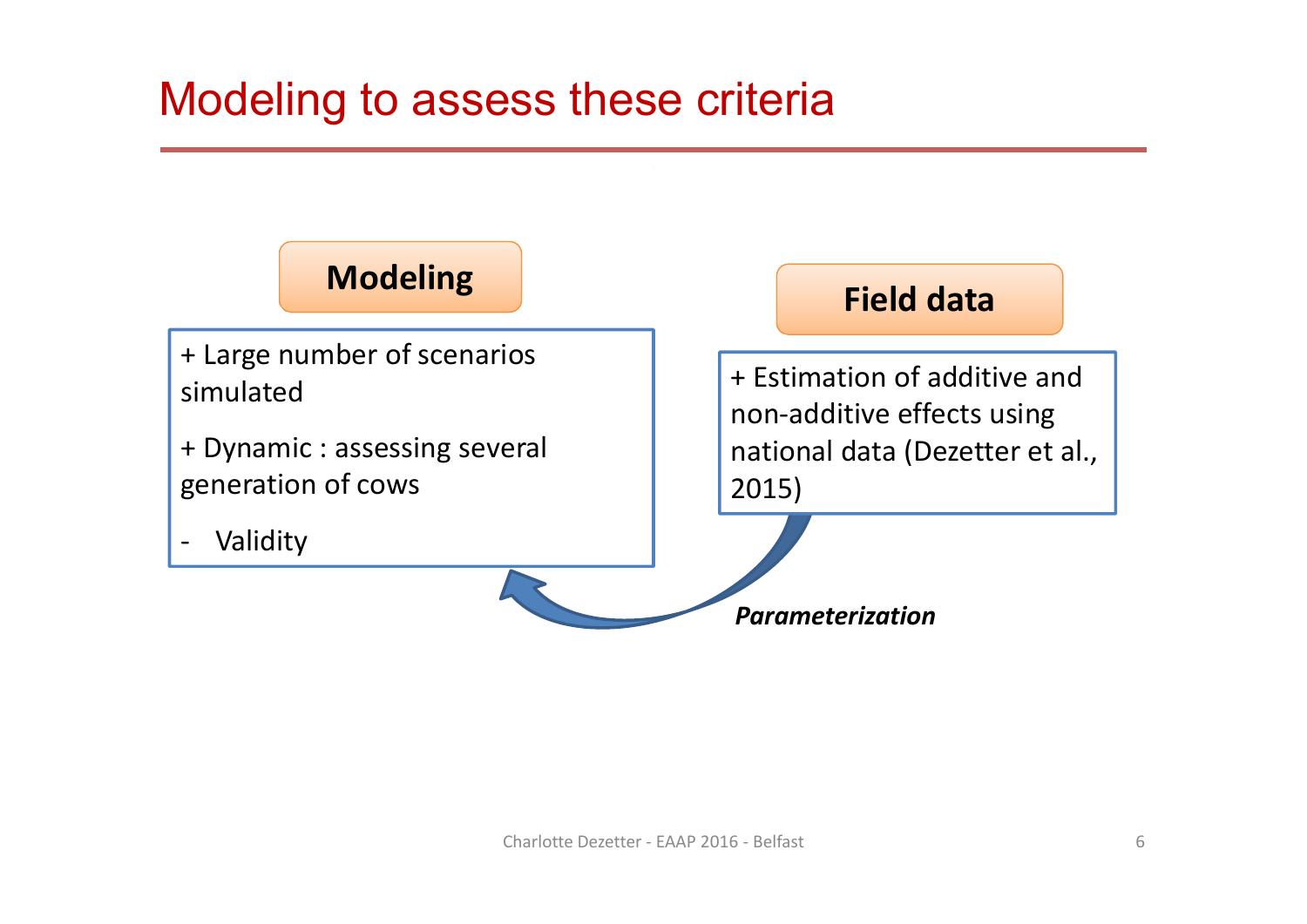#### Modeling to assess these criteria

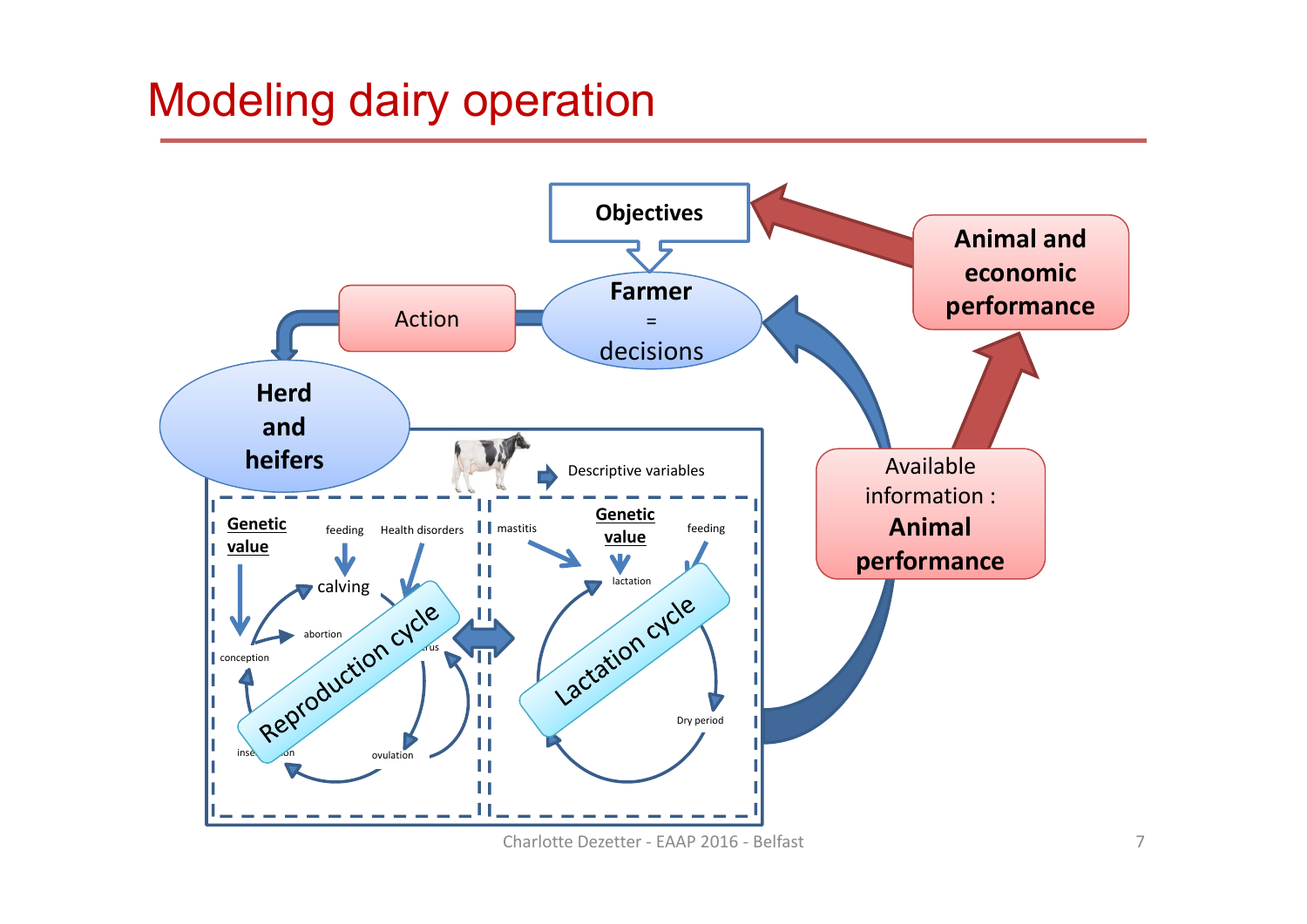#### Modeling dairy operation



Charlotte Dezetter ‐ EAAP 2016 ‐ Belfast 7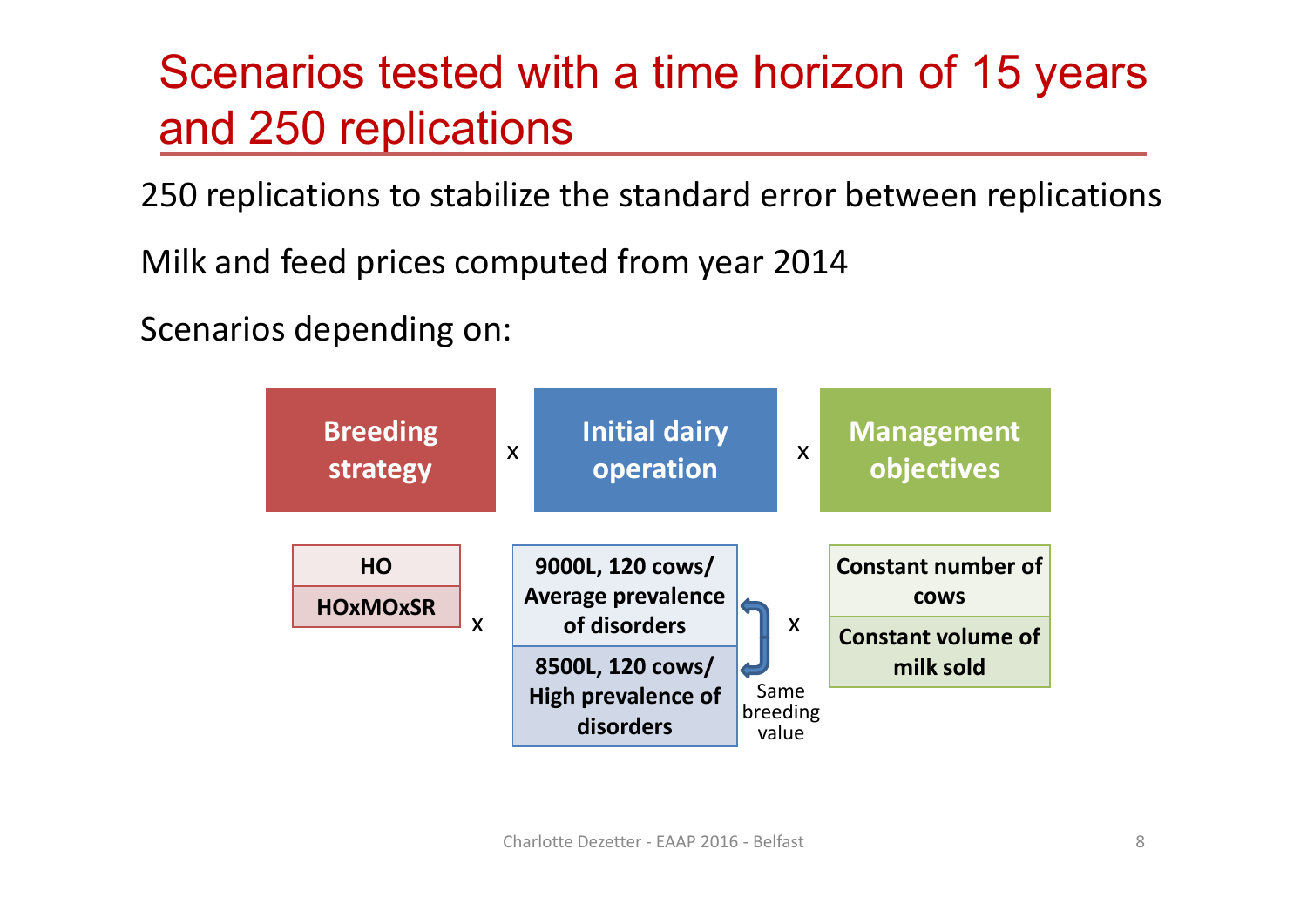## Scenarios tested with a time horizon of 15 years and 250 replications

250 replications to stabilize the standard error between replications

Milk and feed prices computed from year 2014

Scenarios depending on:

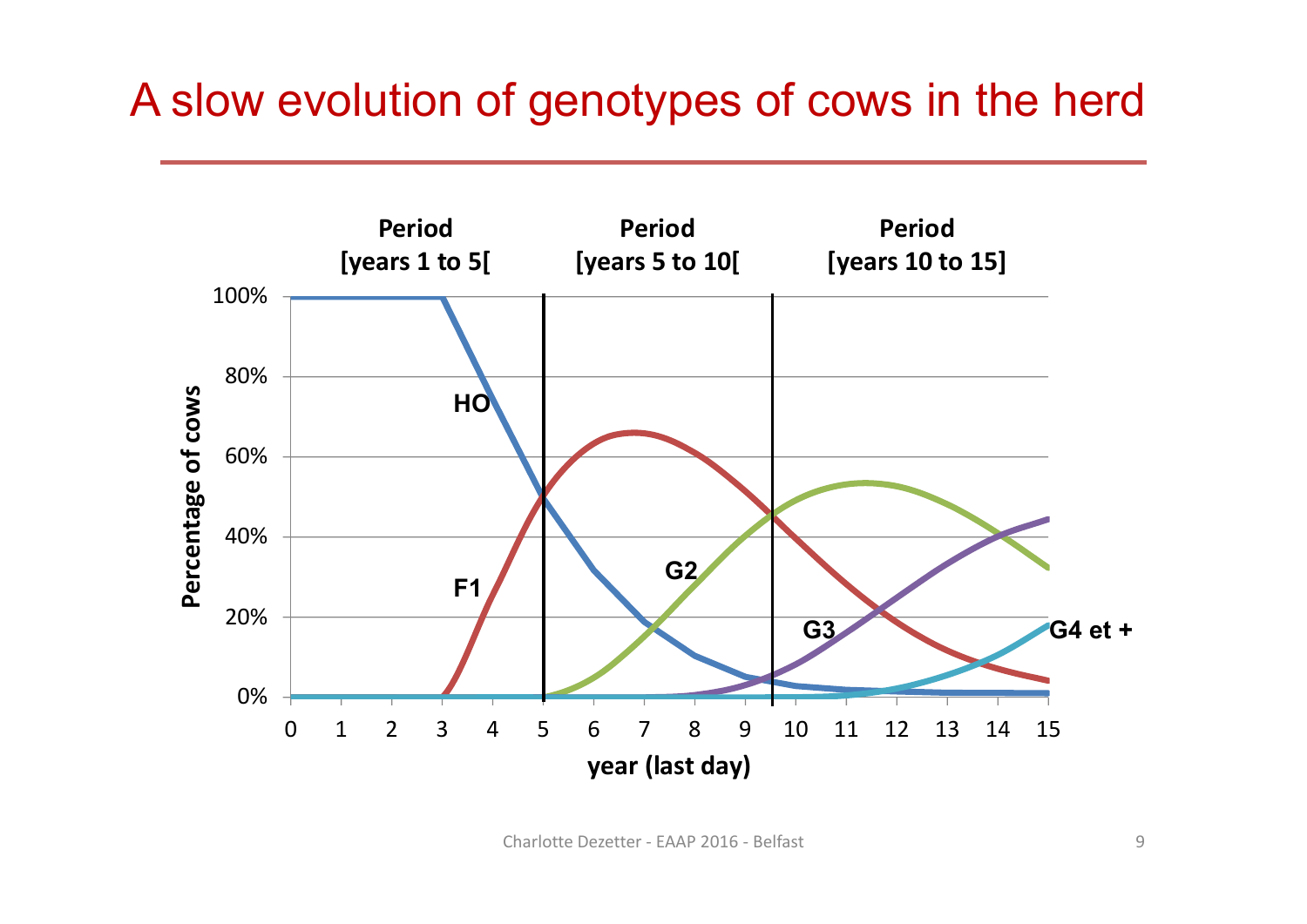#### A slow evolution of genotypes of cows in the herd

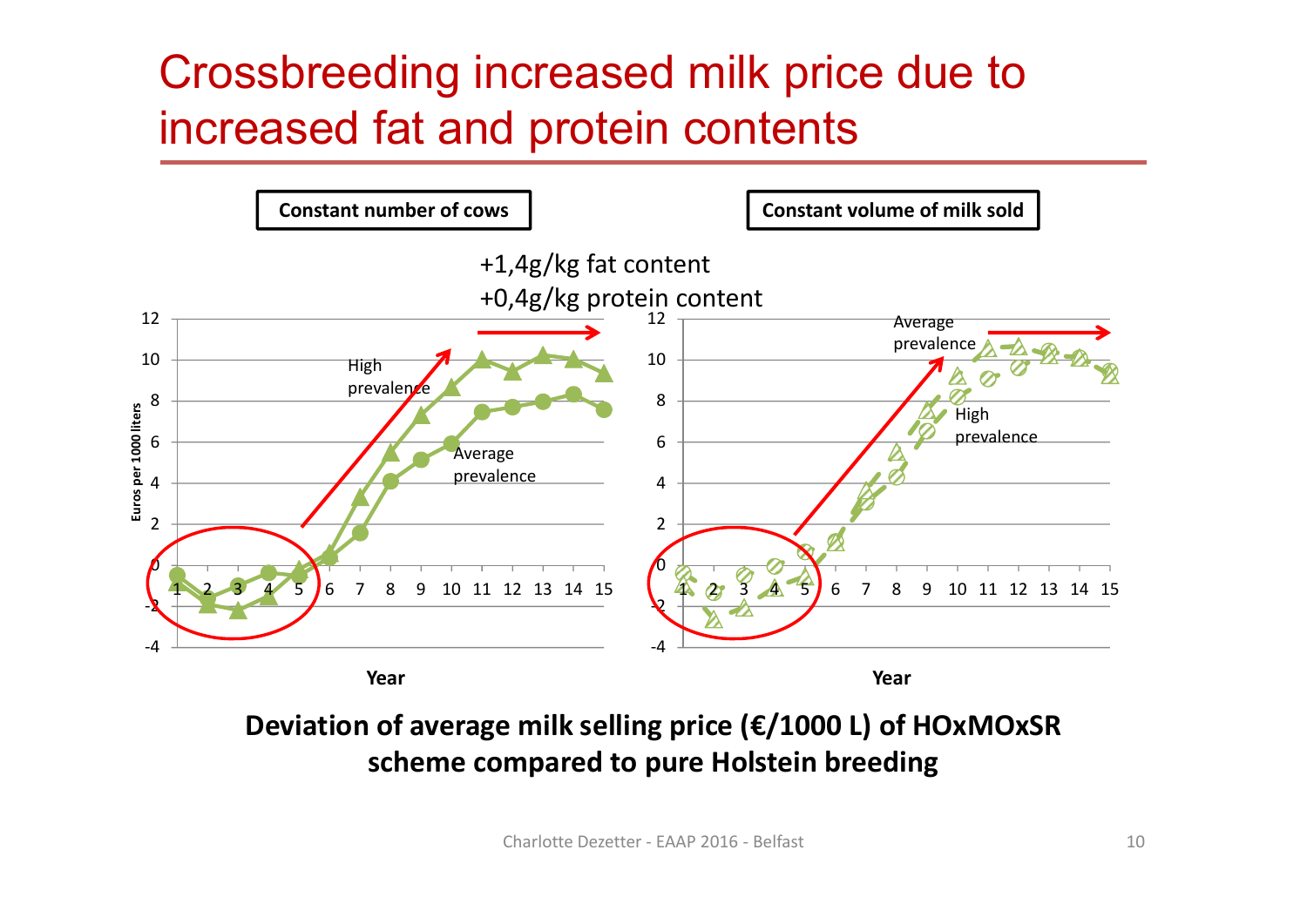## Crossbreeding increased milk price due to increased fat and protein contents



**Deviation of average milk selling price (€/1000 L) of HOxMOxSR scheme compared to pure Holstein breeding**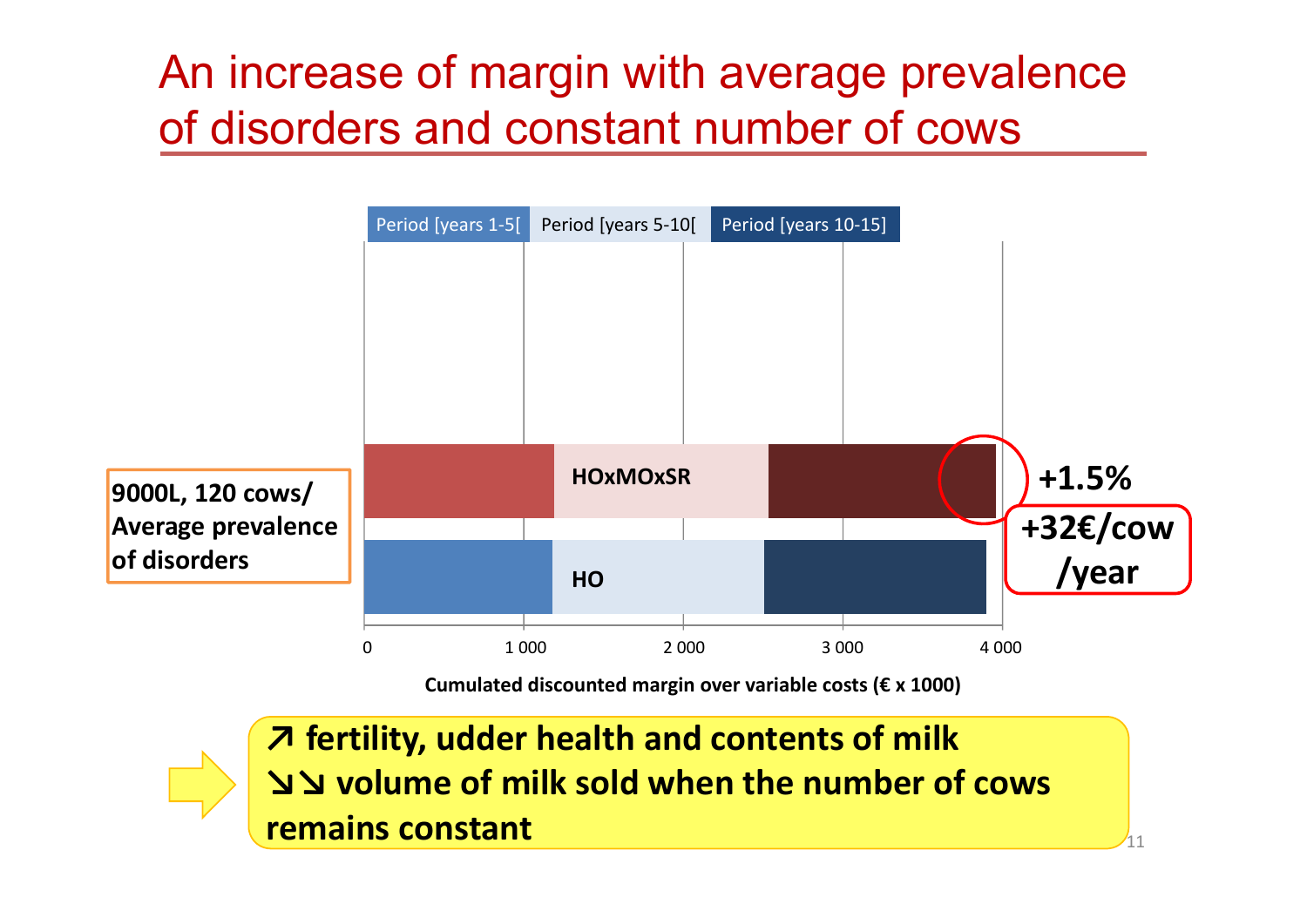## An increase of margin with average prevalence of disorders and constant number of cows



**Cumulated discounted margin over variable costs (€ x 1000)**

 $\mathcal{L}_{11}$ **↗ fertility, udder health and contents of milk ↘↘ volume of milk sold when the number of cows remains constant**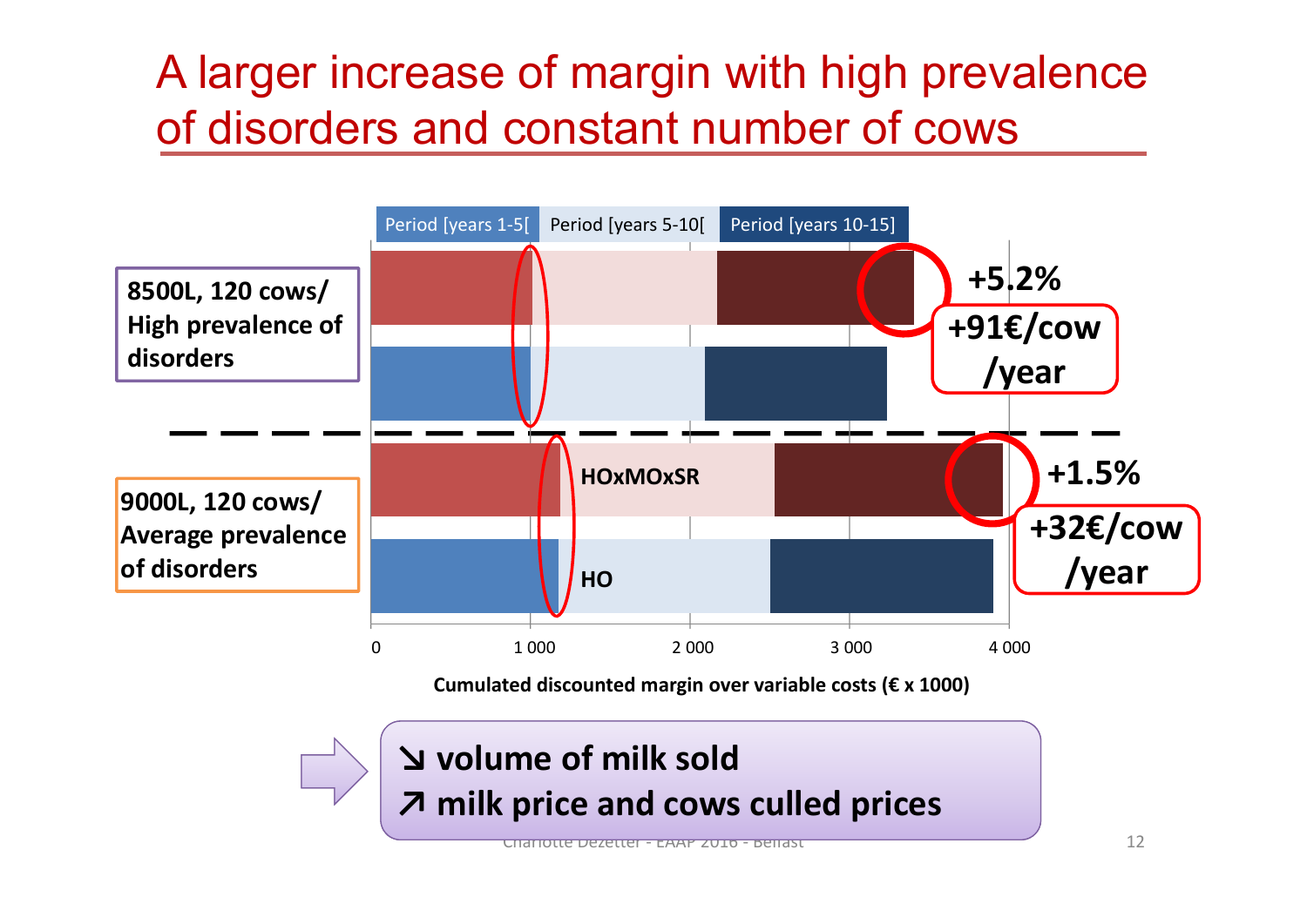## A larger increase of margin with high prevalence of disorders and constant number of cows

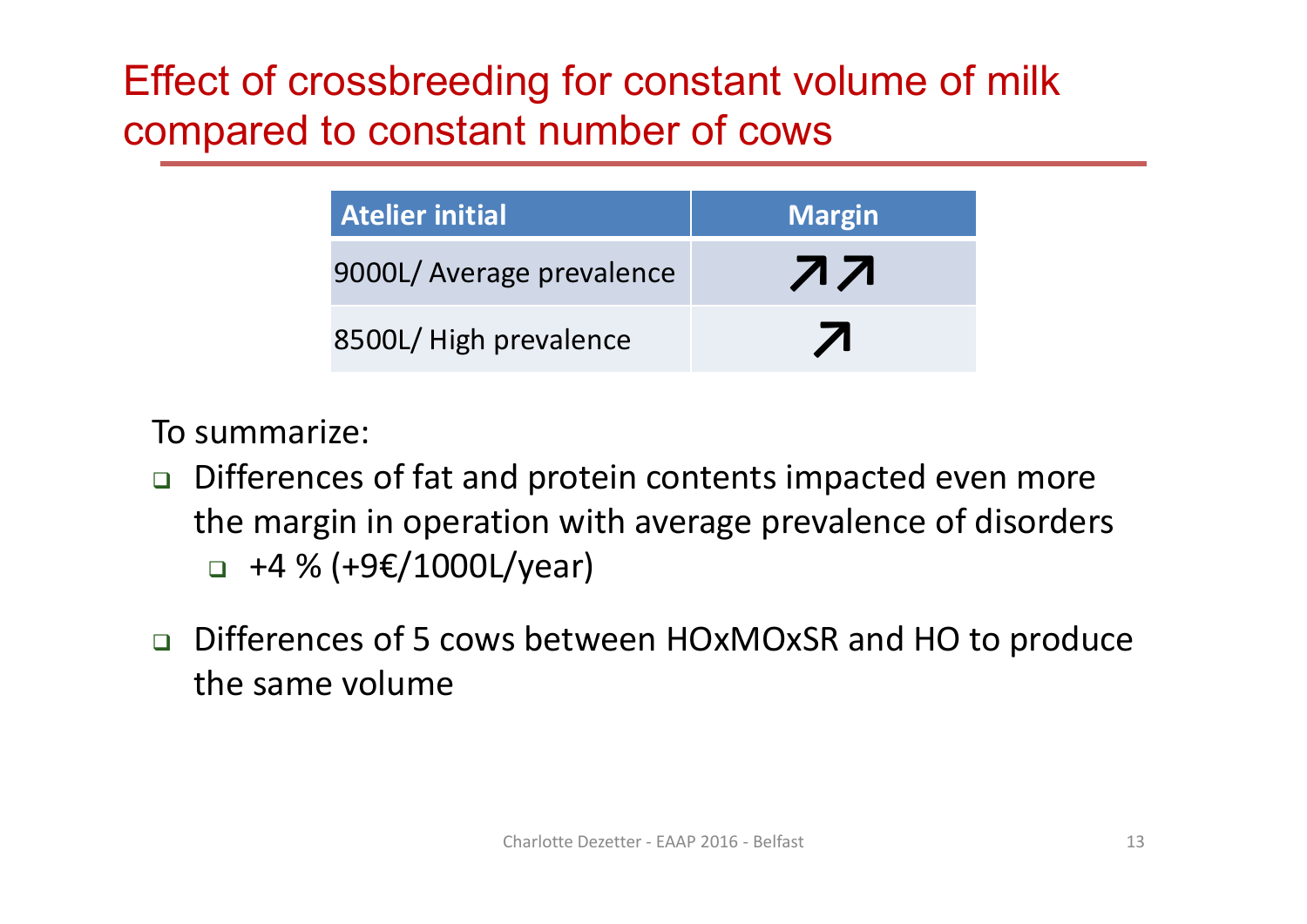#### Effect of crossbreeding for constant volume of milk compared to constant number of cows

| <b>Atelier initial</b>    | <b>Margin</b> |
|---------------------------|---------------|
| 9000L/ Average prevalence | <b>77</b>     |
| 8500L/ High prevalence    |               |

To summarize:

- $\Box$  Differences of fat and protein contents impacted even more the margin in operation with average prevalence of disorders +4 % (+9€/1000L/year)
- Differences of 5 cows between HOxMOxSR and HO to produce the same volume